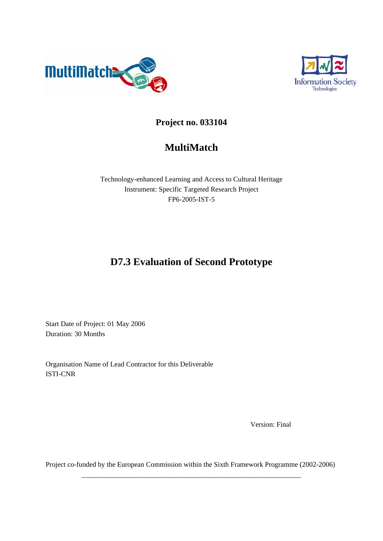



# **Project no. 033104**

# **MultiMatch**

Technology-enhanced Learning and Access to Cultural Heritage Instrument: Specific Targeted Research Project FP6-2005-IST-5

# **D7.3 Evaluation of Second Prototype**

Start Date of Project: 01 May 2006 Duration: 30 Months

Organisation Name of Lead Contractor for this Deliverable ISTI-CNR

Version: Final

Project co-funded by the European Commission within the Sixth Framework Programme (2002-2006) \_\_\_\_\_\_\_\_\_\_\_\_\_\_\_\_\_\_\_\_\_\_\_\_\_\_\_\_\_\_\_\_\_\_\_\_\_\_\_\_\_\_\_\_\_\_\_\_\_\_\_\_\_\_\_\_\_\_\_\_\_\_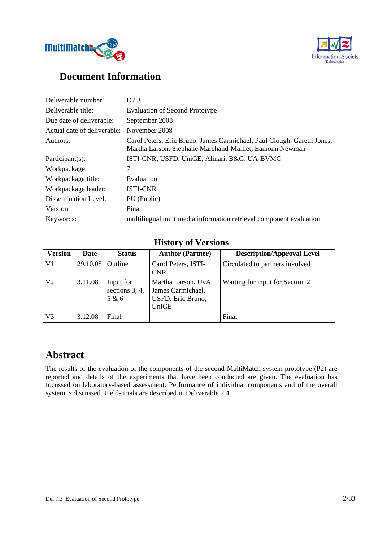



# **Document Information**

| Deliverable number:         | D7.3                                                                                                                              |
|-----------------------------|-----------------------------------------------------------------------------------------------------------------------------------|
| Deliverable title:          | <b>Evaluation of Second Prototype</b>                                                                                             |
| Due date of deliverable:    | September 2008                                                                                                                    |
| Actual date of deliverable: | November 2008                                                                                                                     |
| Authors:                    | Carol Peters, Eric Bruno, James Carmichael, Paul Clough, Gareth Jones,<br>Martha Larson, Stephane Marchand-Maillet, Eamonn Newman |
| Participant $(s)$ :         | ISTI-CNR, USFD, UniGE, Alinari, B&G, UA-BVMC                                                                                      |
| Workpackage:                | 7                                                                                                                                 |
| Workpackage title:          | Evaluation                                                                                                                        |
| Workpackage leader:         | <b>ISTI-CNR</b>                                                                                                                   |
| Dissemination Level:        | PU (Public)                                                                                                                       |
| Version:                    | Final                                                                                                                             |
| Keywords:                   | multilingual multimedia information retrieval component evaluation                                                                |

## **History of Versions**

| <b>Version</b> | <b>Date</b> | <b>Status</b>                        | <b>Author (Partner)</b>                                                | <b>Description/Approval Level</b> |
|----------------|-------------|--------------------------------------|------------------------------------------------------------------------|-----------------------------------|
| V <sub>1</sub> | 29.10.08    | Outline                              | Carol Peters, ISTI-<br><b>CNR</b>                                      | Circulated to partners involved   |
| V <sub>2</sub> | 3.11.08     | Input for<br>sections 3, 4,<br>5 & 6 | Martha Larson, UvA,<br>James Carmichael,<br>USFD, Eric Bruno,<br>UniGE | Waiting for input for Section 2   |
| V <sup>3</sup> | 3.12.08     | Final                                |                                                                        | Final                             |

# **Abstract**

The results of the evaluation of the components of the second MultiMatch system prototype (P2) are reported and details of the experiments that have been conducted are given. The evaluation has focussed on laboratory-based assessment. Performance of individual components and of the overall system is discussed. Fields trials are described in Deliverable 7.4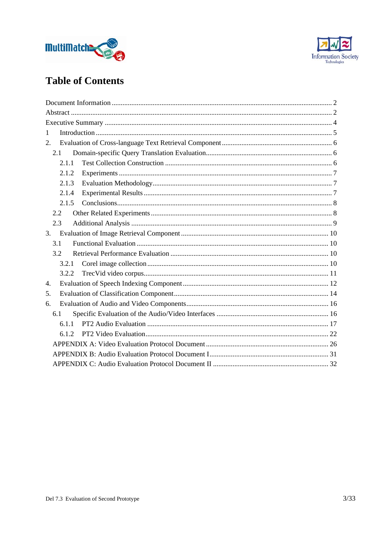



# **Table of Contents**

| 1     |  |
|-------|--|
| 2.    |  |
| 2.1   |  |
| 2.1.1 |  |
| 2.1.2 |  |
| 2.1.3 |  |
| 2.1.4 |  |
| 2.1.5 |  |
| 2.2   |  |
| 2.3   |  |
| 3.    |  |
| 3.1   |  |
| 3.2   |  |
| 3.2.1 |  |
| 3.2.2 |  |
| 4.    |  |
| 5.    |  |
| 6.    |  |
| 6.1   |  |
| 6.1.1 |  |
| 6.1.2 |  |
|       |  |
|       |  |
|       |  |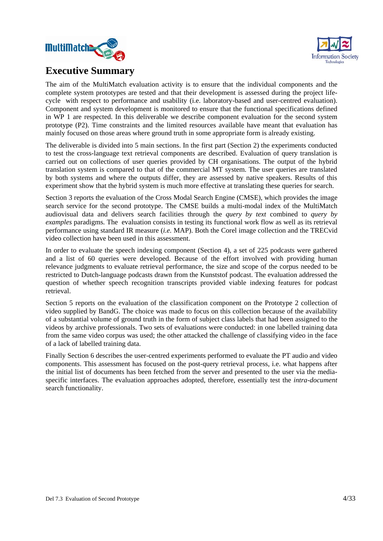



# **Executive Summary**

The aim of the MultiMatch evaluation activity is to ensure that the individual components and the complete system prototypes are tested and that their development is assessed during the project lifecycle with respect to performance and usability (i.e. laboratory-based and user-centred evaluation). Component and system development is monitored to ensure that the functional specifications defined in WP 1 are respected. In this deliverable we describe component evaluation for the second system prototype (P2). Time constraints and the limited resources available have meant that evaluation has mainly focused on those areas where ground truth in some appropriate form is already existing.

The deliverable is divided into 5 main sections. In the first part (Section 2) the experiments conducted to test the cross-language text retrieval components are described. Evaluation of query translation is carried out on collections of user queries provided by CH organisations. The output of the hybrid translation system is compared to that of the commercial MT system. The user queries are translated by both systems and where the outputs differ, they are assessed by native speakers. Results of this experiment show that the hybrid system is much more effective at translating these queries for search.

Section 3 reports the evaluation of the Cross Modal Search Engine (CMSE), which provides the image search service for the second prototype. The CMSE builds a multi-modal index of the MultiMatch audiovisual data and delivers search facilities through the *query by text* combined to *query by examples* paradigms*.* The evaluation consists in testing its functional work flow as well as its retrieval performance using standard IR measure (*i.e.* MAP). Both the Corel image collection and the TRECvid video collection have been used in this assessment.

In order to evaluate the speech indexing component (Section 4), a set of 225 podcasts were gathered and a list of 60 queries were developed. Because of the effort involved with providing human relevance judgments to evaluate retrieval performance, the size and scope of the corpus needed to be restricted to Dutch-language podcasts drawn from the Kunststof podcast. The evaluation addressed the question of whether speech recognition transcripts provided viable indexing features for podcast retrieval.

Section 5 reports on the evaluation of the classification component on the Prototype 2 collection of video supplied by BandG. The choice was made to focus on this collection because of the availability of a substantial volume of ground truth in the form of subject class labels that had been assigned to the videos by archive professionals. Two sets of evaluations were conducted: in one labelled training data from the same video corpus was used; the other attacked the challenge of classifying video in the face of a lack of labelled training data.

Finally Section 6 describes the user-centred experiments performed to evaluate the PT audio and video components. This assessment has focused on the post-query retrieval process, i.e. what happens after the initial list of documents has been fetched from the server and presented to the user via the mediaspecific interfaces. The evaluation approaches adopted, therefore, essentially test the *intra-document*  search functionality.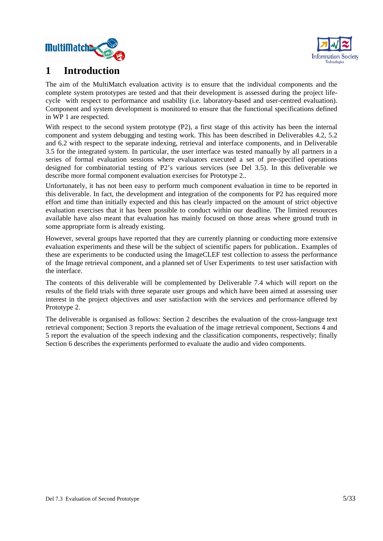



# **1 Introduction**

The aim of the MultiMatch evaluation activity is to ensure that the individual components and the complete system prototypes are tested and that their development is assessed during the project lifecycle with respect to performance and usability (i.e. laboratory-based and user-centred evaluation). Component and system development is monitored to ensure that the functional specifications defined in WP 1 are respected.

With respect to the second system prototype (P2), a first stage of this activity has been the internal component and system debugging and testing work. This has been described in Deliverables 4.2, 5.2 and 6.2 with respect to the separate indexing, retrieval and interface components, and in Deliverable 3.5 for the integrated system. In particular, the user interface was tested manually by all partners in a series of formal evaluation sessions where evaluators executed a set of pre-specified operations designed for combinatorial testing of P2's various services (see Del 3.5). In this deliverable we describe more formal component evaluation exercises for Prototype 2..

Unfortunately, it has not been easy to perform much component evaluation in time to be reported in this deliverable. In fact, the development and integration of the components for P2 has required more effort and time than initially expected and this has clearly impacted on the amount of strict objective evaluation exercises that it has been possible to conduct within our deadline. The limited resources available have also meant that evaluation has mainly focused on those areas where ground truth in some appropriate form is already existing.

However, several groups have reported that they are currently planning or conducting more extensive evaluation experiments and these will be the subject of scientific papers for publication.. Examples of these are experiments to be conducted using the ImageCLEF test collection to assess the performance of the Image retrieval component, and a planned set of User Experiments to test user satisfaction with the interface.

The contents of this deliverable will be complemented by Deliverable 7.4 which will report on the results of the field trials with three separate user groups and which have been aimed at assessing user interest in the project objectives and user satisfaction with the services and performance offered by Prototype 2.

The deliverable is organised as follows: Section 2 describes the evaluation of the cross-language text retrieval component; Section 3 reports the evaluation of the image retrieval component, Sections 4 and 5 report the evaluation of the speech indexing and the classification components, respectively; finally Section 6 describes the experiments performed to evaluate the audio and video components.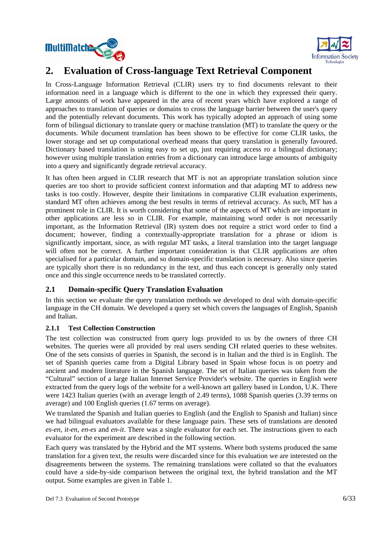



# **2. Evaluation of Cross-language Text Retrieval Component**

In Cross-Language Information Retrieval (CLIR) users try to find documents relevant to their information need in a language which is different to the one in which they expressed their query. Large amounts of work have appeared in the area of recent years which have explored a range of approaches to translation of queries or domains to cross the language barrier between the user's query and the potentially relevant documents. This work has typically adopted an approach of using some form of bilingual dictionary to translate query or machine translation (MT) to translate the query or the documents. While document translation has been shown to be effective for come CLIR tasks, the lower storage and set up computational overhead means that query translation is generally favoured. Dictionary based translation is using easy to set up, just requiring access ro a bilingual dictionary; however using multiple translation entries from a dictionary can introduce large amounts of ambiguity into a query and significantly degrade retrieval accuracy.

It has often been argued in CLIR research that MT is not an appropriate translation solution since queries are too short to provide sufficient context information and that adapting MT to address new tasks is too costly. However, despite their limitations in comparative CLIR evaluation experiments, standard MT often achieves among the best results in terms of retrieval accuracy. As such, MT has a prominent role in CLIR. It is worth considering that some of the aspects of MT which are important in other applications are less so in CLIR. For example, maintaining word order is not necessarily important, as the Information Retrieval (IR) system does not require a strict word order to find a document; however, finding a contextually-appropriate translation for a phrase or idiom is significantly important, since, as with regular MT tasks, a literal translation into the target language will often not be correct. A further important consideration is that CLIR applications are often specialised for a particular domain, and so domain-specific translation is necessary. Also since queries are typically short there is no redundancy in the text, and thus each concept is generally only stated once and this single occurrence needs to be translated correctly.

### **2.1 Domain-specific Query Translation Evaluation**

In this section we evaluate the query translation methods we developed to deal with domain-specific language in the CH domain. We developed a query set which covers the languages of English, Spanish and Italian.

### **2.1.1 Test Collection Construction**

The test collection was constructed from query logs provided to us by the owners of three CH websites. The queries were all provided by real users sending CH related queries to these websites. One of the sets consists of queries in Spanish, the second is in Italian and the third is in English. The set of Spanish queries came from a Digital Library based in Spain whose focus is on poetry and ancient and modern literature in the Spanish language. The set of Italian queries was taken from the "Cultural" section of a large Italian Internet Service Provider's website. The queries in English were extracted from the query logs of the website for a well-known art gallery based in London, U.K. There were 1423 Italian queries (with an average length of 2.49 terms), 1088 Spanish queries (3.39 terms on average) and 100 English queries (1.67 terms on average).

We translated the Spanish and Italian queries to English (and the English to Spanish and Italian) since we had bilingual evaluators available for these language pairs. These sets of translations are denoted *es-en*, *it-en*, *en-es* and *en-it*. There was a single evaluator for each set. The instructions given to each evaluator for the experiment are described in the following section.

Each query was translated by the Hybrid and the MT systems. Where both systems produced the same translation for a given text, the results were discarded since for this evaluation we are interested on the disagreements between the systems. The remaining translations were collated so that the evaluators could have a side-by-side comparison between the original text, the hybrid translation and the MT output. Some examples are given in Table 1.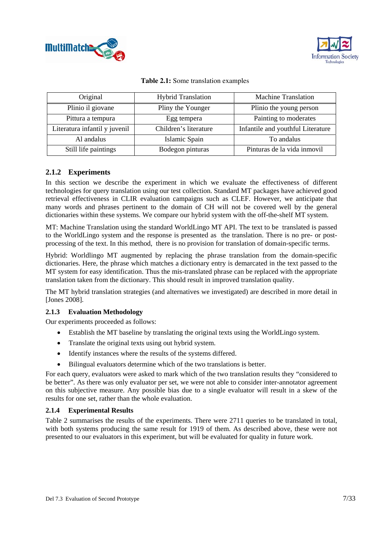



| Original                      | <b>Hybrid Translation</b> | <b>Machine Translation</b>        |
|-------------------------------|---------------------------|-----------------------------------|
| Plinio il giovane             | Pliny the Younger         | Plinio the young person           |
| Pittura a tempura             | Egg tempera               | Painting to moderates             |
| Literatura infantil y juvenil | Children's literature     | Infantile and youthful Literature |
| Al andalus                    | Islamic Spain             | To andalus                        |
| Still life paintings          | Bodegon pinturas          | Pinturas de la vida inmovil       |

### **2.1.2 Experiments**

In this section we describe the experiment in which we evaluate the effectiveness of different technologies for query translation using our test collection. Standard MT packages have achieved good retrieval effectiveness in CLIR evaluation campaigns such as CLEF. However, we anticipate that many words and phrases pertinent to the domain of CH will not be covered well by the general dictionaries within these systems. We compare our hybrid system with the off-the-shelf MT system.

MT: Machine Translation using the standard WorldLingo MT API. The text to be translated is passed to the WorldLingo system and the response is presented as the translation. There is no pre- or postprocessing of the text. In this method, there is no provision for translation of domain-specific terms.

Hybrid: Worldlingo MT augmented by replacing the phrase translation from the domain-specific dictionaries. Here, the phrase which matches a dictionary entry is demarcated in the text passed to the MT system for easy identification. Thus the mis-translated phrase can be replaced with the appropriate translation taken from the dictionary. This should result in improved translation quality.

The MT hybrid translation strategies (and alternatives we investigated) are described in more detail in [Jones 2008].

#### **2.1.3 Evaluation Methodology**

Our experiments proceeded as follows:

- Establish the MT baseline by translating the original texts using the WorldLingo system.
- Translate the original texts using out hybrid system.
- Identify instances where the results of the systems differed.
- Bilingual evaluators determine which of the two translations is better.

For each query, evaluators were asked to mark which of the two translation results they "considered to be better". As there was only evaluator per set, we were not able to consider inter-annotator agreement on this subjective measure. Any possible bias due to a single evaluator will result in a skew of the results for one set, rather than the whole evaluation.

#### **2.1.4 Experimental Results**

Table 2 summarises the results of the experiments. There were 2711 queries to be translated in total, with both systems producing the same result for 1919 of them. As described above, these were not presented to our evaluators in this experiment, but will be evaluated for quality in future work.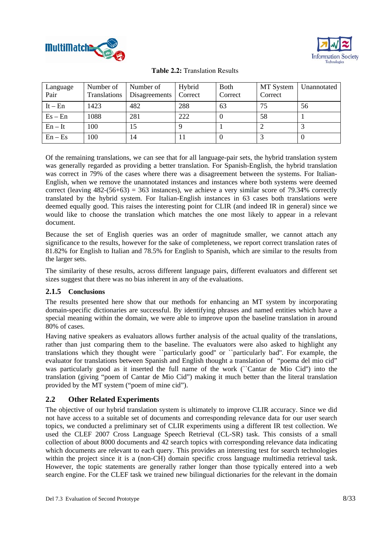



| Language<br>Pair | Number of | Number of<br>Translations   Disagreements   Correct | Hybrid | <b>Both</b><br>Correct | MT System<br>Correct | Unannotated |
|------------------|-----------|-----------------------------------------------------|--------|------------------------|----------------------|-------------|
| $It - En$        | 1423      | 482                                                 | 288    | 63                     | 75                   | 56          |
| $Es - En$        | 1088      | 281                                                 | 222    |                        | 58                   |             |
| $En - It$        | 100       | 15                                                  |        |                        |                      |             |
| $En - Es$        | 100       | 14                                                  |        |                        |                      |             |

Of the remaining translations, we can see that for all language-pair sets, the hybrid translation system was generally regarded as providing a better translation. For Spanish-English, the hybrid translation was correct in 79% of the cases where there was a disagreement between the systems. For Italian-English, when we remove the unannotated instances and instances where both systems were deemed correct (leaving  $482-(56+63) = 363$  instances), we achieve a very similar score of 79.34% correctly translated by the hybrid system. For Italian-English instances in 63 cases both translations were deemed equally good. This raises the interesting point for CLIR (and indeed IR in general) since we would like to choose the translation which matches the one most likely to appear in a relevant document.

Because the set of English queries was an order of magnitude smaller, we cannot attach any significance to the results, however for the sake of completeness, we report correct translation rates of 81.82% for English to Italian and 78.5% for English to Spanish, which are similar to the results from the larger sets.

The similarity of these results, across different language pairs, different evaluators and different set sizes suggest that there was no bias inherent in any of the evaluations.

### **2.1.5 Conclusions**

The results presented here show that our methods for enhancing an MT system by incorporating domain-specific dictionaries are successful. By identifying phrases and named entities which have a special meaning within the domain, we were able to improve upon the baseline translation in around 80% of cases.

Having native speakers as evaluators allows further analysis of the actual quality of the translations, rather than just comparing them to the baseline. The evaluators were also asked to highlight any translations which they thought were ``particularly good'' or ``particularly bad''. For example, the evaluator for translations between Spanish and English thought a translation of "poema del mio cid" was particularly good as it inserted the full name of the work (``Cantar de Mio Cid'') into the translation (giving "poem of Cantar de Mio Cid") making it much better than the literal translation provided by the MT system ("poem of mine cid").

### **2.2 Other Related Experiments**

The objective of our hybrid translation system is ultimately to improve CLIR accuracy. Since we did not have access to a suitable set of documents and corresponding relevance data for our user search topics, we conducted a preliminary set of CLIR experiments using a different IR test collection. We used the CLEF 2007 Cross Language Speech Retrieval (CL-SR) task. This consists of a small collection of about 8000 documents and 42 search topics with corresponding relevance data indicating which documents are relevant to each query. This provides an interesting test for search technologies within the project since it is a (non-CH) domain specific cross language multimedia retrieval task. However, the topic statements are generally rather longer than those typically entered into a web search engine. For the CLEF task we trained new bilingual dictionaries for the relevant in the domain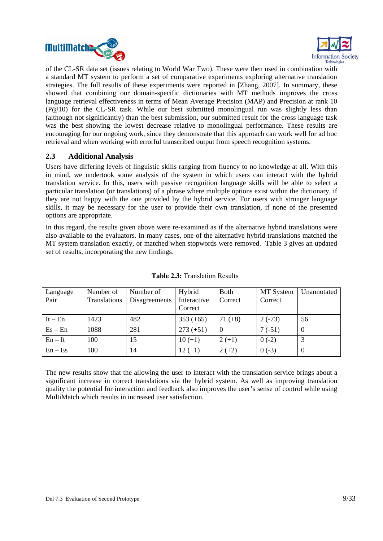



of the CL-SR data set (issues relating to World War Two). These were then used in combination with a standard MT system to perform a set of comparative experiments exploring alternative translation strategies. The full results of these experiments were reported in [Zhang, 2007]. In summary, these showed that combining our domain-specific dictionaries with MT methods improves the cross language retrieval effectiveness in terms of Mean Average Precision (MAP) and Precision at rank 10 (P@10) for the CL-SR task. While our best submitted monolingual run was slightly less than (although not significantly) than the best submission, our submitted result for the cross language task was the best showing the lowest decrease relative to monolingual performance. These results are encouraging for our ongoing work, since they demonstrate that this approach can work well for ad hoc retrieval and when working with errorful transcribed output from speech recognition systems.

### **2.3 Additional Analysis**

Users have differing levels of linguistic skills ranging from fluency to no knowledge at all. With this in mind, we undertook some analysis of the system in which users can interact with the hybrid translation service. In this, users with passive recognition language skills will be able to select a particular translation (or translations) of a phrase where multiple options exist within the dictionary, if they are not happy with the one provided by the hybrid service. For users with stronger language skills, it may be necessary for the user to provide their own translation, if none of the presented options are appropriate.

In this regard, the results given above were re-examined as if the alternative hybrid translations were also available to the evaluators. In many cases, one of the alternative hybrid translations matched the MT system translation exactly, or matched when stopwords were removed. Table 3 gives an updated set of results, incorporating the new findings.

| Language  | Number of    | Number of     | Hybrid      | <b>Both</b> | MT System | Unannotated |
|-----------|--------------|---------------|-------------|-------------|-----------|-------------|
| Pair      | Translations | Disagreements | Interactive | Correct     | Correct   |             |
|           |              |               | Correct     |             |           |             |
| $It - En$ | 1423         | 482           | $353 (+65)$ | $71 (+8)$   | $2(-73)$  | 56          |
| $Es - En$ | 1088         | 281           | $273 (+51)$ | $\Omega$    | $7(-51)$  | $\theta$    |
| $En - It$ | 100          | 15            | $10 (+1)$   | $2(+1)$     | $0(-2)$   |             |
| $En - Es$ | 100          | 14            | $12 (+1)$   | $2 (+2)$    | $0(-3)$   | 0           |

### **Table 2.3:** Translation Results

The new results show that the allowing the user to interact with the translation service brings about a significant increase in correct translations via the hybrid system. As well as improving translation quality the potential for interaction and feedback also improves the user's sense of control while using MultiMatch which results in increased user satisfaction.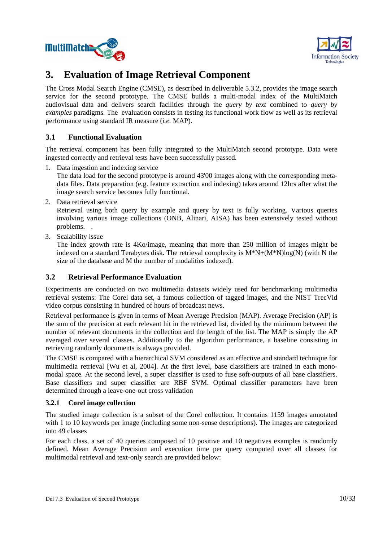



# **3. Evaluation of Image Retrieval Component**

The Cross Modal Search Engine (CMSE), as described in deliverable 5.3.2, provides the image search service for the second prototype. The CMSE builds a multi-modal index of the MultiMatch audiovisual data and delivers search facilities through the *query by text* combined to *query by examples* paradigms*.* The evaluation consists in testing its functional work flow as well as its retrieval performance using standard IR measure (*i.e.* MAP).

### **3.1 Functional Evaluation**

The retrieval component has been fully integrated to the MultiMatch second prototype. Data were ingested correctly and retrieval tests have been successfully passed.

1. Data ingestion and indexing service

The data load for the second prototype is around 43'00 images along with the corresponding metadata files. Data preparation (e.g. feature extraction and indexing) takes around 12hrs after what the image search service becomes fully functional.

2. Data retrieval service

Retrieval using both query by example and query by text is fully working. Various queries involving various image collections (ONB, Alinari, AISA) has been extensively tested without problems. .

3. Scalability issue

The index growth rate is 4Ko/image, meaning that more than 250 million of images might be indexed on a standard Terabytes disk. The retrieval complexity is  $M^*N+(M^*N)log(N)$  (with N the size of the database and M the number of modalities indexed).

### **3.2 Retrieval Performance Evaluation**

Experiments are conducted on two multimedia datasets widely used for benchmarking multimedia retrieval systems: The Corel data set, a famous collection of tagged images, and the NIST TrecVid video corpus consisting in hundred of hours of broadcast news.

Retrieval performance is given in terms of Mean Average Precision (MAP). Average Precision (AP) is the sum of the precision at each relevant hit in the retrieved list, divided by the minimum between the number of relevant documents in the collection and the length of the list. The MAP is simply the AP averaged over several classes. Additionally to the algorithm performance, a baseline consisting in retrieving randomly documents is always provided.

The CMSE is compared with a hierarchical SVM considered as an effective and standard technique for multimedia retrieval [Wu et al, 2004]. At the first level, base classifiers are trained in each monomodal space. At the second level, a super classifier is used to fuse soft-outputs of all base classifiers. Base classifiers and super classifier are RBF SVM. Optimal classifier parameters have been determined through a leave-one-out cross validation

### **3.2.1 Corel image collection**

The studied image collection is a subset of the Corel collection. It contains 1159 images annotated with 1 to 10 keywords per image (including some non-sense descriptions). The images are categorized into 49 classes

For each class, a set of 40 queries composed of 10 positive and 10 negatives examples is randomly defined. Mean Average Precision and execution time per query computed over all classes for multimodal retrieval and text-only search are provided below: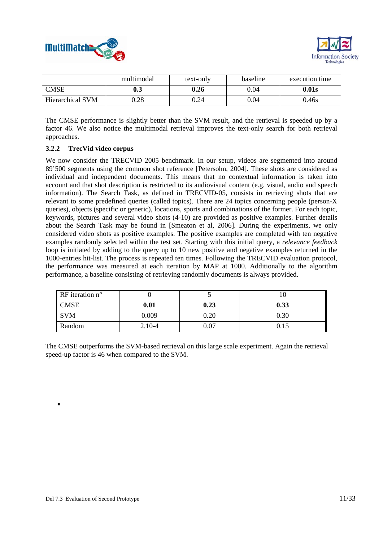



|                         | multimodal | text-only | baseline   | execution time |
|-------------------------|------------|-----------|------------|----------------|
| <b>CMSE</b>             | $0.3\,$    | 0.26      | 0.04       | 0.01s          |
| <b>Hierarchical SVM</b> | 0.28       | 0.24      | $\rm 0.04$ | 0.46s          |

The CMSE performance is slightly better than the SVM result, and the retrieval is speeded up by a factor 46. We also notice the multimodal retrieval improves the text-only search for both retrieval approaches.

#### **3.2.2 TrecVid video corpus**

We now consider the TRECVID 2005 benchmark. In our setup, videos are segmented into around 89'500 segments using the common shot reference [Petersohn, 2004]. These shots are considered as individual and independent documents. This means that no contextual information is taken into account and that shot description is restricted to its audiovisual content (e.g. visual, audio and speech information). The Search Task, as defined in TRECVID-05, consists in retrieving shots that are relevant to some predefined queries (called topics). There are 24 topics concerning people (person-X queries), objects (specific or generic), locations, sports and combinations of the former. For each topic, keywords, pictures and several video shots (4-10) are provided as positive examples. Further details about the Search Task may be found in [Smeaton et al, 2006]. During the experiments, we only considered video shots as positive examples. The positive examples are completed with ten negative examples randomly selected within the test set. Starting with this initial query, a *relevance feedback*  loop is initiated by adding to the query up to 10 new positive and negative examples returned in the 1000-entries hit-list. The process is repeated ten times. Following the TRECVID evaluation protocol, the performance was measured at each iteration by MAP at 1000. Additionally to the algorithm performance, a baseline consisting of retrieving randomly documents is always provided.

| $RF$ iteration n <sup>o</sup> |            |          |      |
|-------------------------------|------------|----------|------|
| <b>CMSE</b>                   | 0.01       | 0.23     | 0.33 |
| <b>SVM</b>                    | 0.009      | $0.20\,$ | 0.30 |
| Random                        | $2.10 - 4$ | $0.07\,$ | 0.15 |

The CMSE outperforms the SVM-based retrieval on this large scale experiment. Again the retrieval speed-up factor is 46 when compared to the SVM.

.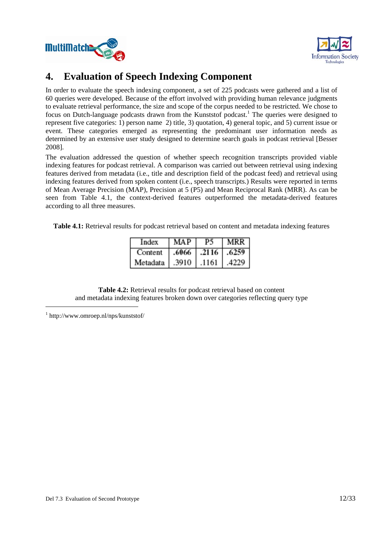



# **4. Evaluation of Speech Indexing Component**

In order to evaluate the speech indexing component, a set of 225 podcasts were gathered and a list of 60 queries were developed. Because of the effort involved with providing human relevance judgments to evaluate retrieval performance, the size and scope of the corpus needed to be restricted. We chose to focus on Dutch-language podcasts drawn from the Kunststof podcast.<sup>1</sup> The queries were designed to represent five categories: 1) person name 2) title, 3) quotation, 4) general topic, and 5) current issue or event. These categories emerged as representing the predominant user information needs as determined by an extensive user study designed to determine search goals in podcast retrieval [Besser 2008].

The evaluation addressed the question of whether speech recognition transcripts provided viable indexing features for podcast retrieval. A comparison was carried out between retrieval using indexing features derived from metadata (i.e., title and description field of the podcast feed) and retrieval using indexing features derived from spoken content (i.e., speech transcripts.) Results were reported in terms of Mean Average Precision (MAP), Precision at 5 (P5) and Mean Reciprocal Rank (MRR). As can be seen from Table 4.1, the context-derived features outperformed the metadata-derived features according to all three measures.

**Table 4.1:** Retrieval results for podcast retrieval based on content and metadata indexing features

| Index    | <b>MAP</b> | P5                  | MRR I |
|----------|------------|---------------------|-------|
| Content  |            | $.6066$ .2116 .6259 |       |
| Metadata | .3910      | .1161               | .4229 |

**Table 4.2:** Retrieval results for podcast retrieval based on content and metadata indexing features broken down over categories reflecting query type

1 http://www.omroep.nl/nps/kunststof/

-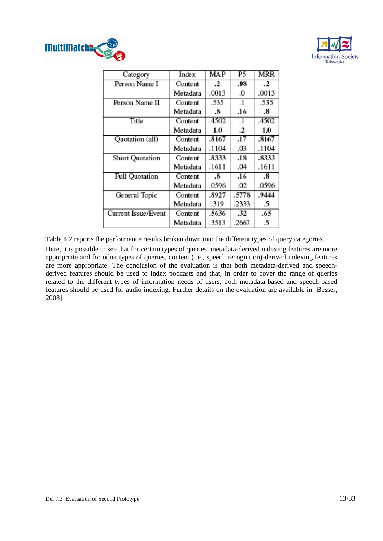



| Category               | Index    | MAP     | P5        | MRR     |
|------------------------|----------|---------|-----------|---------|
| Person Name I          | Content  | $\cdot$ | .08       | $\cdot$ |
|                        | Metadata | .0013   | .0        | .0013   |
| Person Name II         | Content  | .535    | $\cdot$   | .535    |
|                        | Metadata | .8      | .16       | .8      |
| Title                  | Content  | .4502   | $\cdot$ 1 | .4502   |
|                        | Metadata | 1.0     | .2        | $1.0\,$ |
| Quotation (all)        | Content  | .8167   | .17       | .8167   |
|                        | Metadata | .1104   | .03       | .1104   |
| <b>Short Quotation</b> | Content  | .8333   | .18       | .8333   |
|                        | Metadata | .1611   | .04       | .1611   |
| <b>Full Quotation</b>  | Content  | .8      | .16       | .8      |
|                        | Metadata | .0596   | .02       | .0596   |
| General Topic          | Content  | .8927   | .5778     | .9444   |
|                        | Metadata | .319    | .2333     | .5      |
| Current Issue/Event    | Content  | .5636   | .32       | .65     |
|                        | Metadata | .3513   | .2667     | .5      |

Table 4.2 reports the performance results broken down into the different types of query categories.

Here, it is possible to see that for certain types of queries, metadata-derived indexing features are more appropriate and for other types of queries, content (i.e., speech recognition)-derived indexing features are more appropriate. The conclusion of the evaluation is that both metadata-derived and speechderived features should be used to index podcasts and that, in order to cover the range of queries related to the different types of information needs of users, both metadata-based and speech-based features should be used for audio indexing. Further details on the evaluation are available in [Besser, 2008]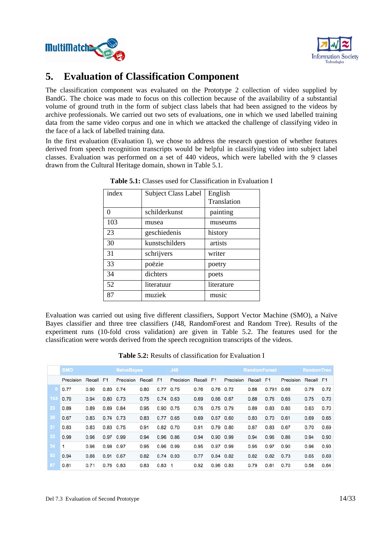



# **5. Evaluation of Classification Component**

The classification component was evaluated on the Prototype 2 collection of video supplied by BandG. The choice was made to focus on this collection because of the availability of a substantial volume of ground truth in the form of subject class labels that had been assigned to the videos by archive professionals. We carried out two sets of evaluations, one in which we used labelled training data from the same video corpus and one in which we attacked the challenge of classifying video in the face of a lack of labelled training data.

In the first evaluation (Evaluation I), we chose to address the research question of whether features derived from speech recognition transcripts would be helpful in classifying video into subject label classes. Evaluation was performed on a set of 440 videos, which were labelled with the 9 classes drawn from the Cultural Heritage domain, shown in Table 5.1.

| index | <b>Subject Class Label</b> | English<br>Translation |
|-------|----------------------------|------------------------|
| 0     | schilderkunst              | painting               |
| 103   | musea                      | museums                |
| 23    | geschiedenis               | history                |
| 30    | kunstschilders             | artists                |
| 31    | schrijvers                 | writer                 |
| 33    | poëzie                     | poetry                 |
| 34    | dichters                   | poets                  |
| 52    | literatuur                 | literature             |
| 87    | muziek                     | music                  |

**Table 5.1:** Classes used for Classification in Evaluation I

Evaluation was carried out using five different classifiers, Support Vector Machine (SMO), a Naïve Bayes classifier and three tree classifiers (J48, RandomForest and Random Tree). Results of the experiment runs (10-fold cross validation) are given in Table 5.2. The features used for the classification were words derived from the speech recognition transcripts of the videos.

| <b>Table 5.2:</b> Results of classification for Evaluation I |
|--------------------------------------------------------------|
|--------------------------------------------------------------|

|     | <b>SMO</b> |           | <b>NaiveBayes</b> |                     | <b>J48</b> |          |               |        | <b>RandomForest</b> |              | <b>RandomTree</b> |                |           |           |      |
|-----|------------|-----------|-------------------|---------------------|------------|----------|---------------|--------|---------------------|--------------|-------------------|----------------|-----------|-----------|------|
|     | Precision  | Recall F1 |                   | Precision Recall F1 |            |          | Precision     | Recall | F <sub>1</sub>      | Precision    | Recall            | F <sub>1</sub> | Precision | Recall F1 |      |
| o   | 0.77       | 0.90      |                   | 0.83 0.74           | 0.80       |          | 0.77 0.75     | 0.76   |                     | $0.76$ 0.72  | 0.88              | 0.791          | 0.66      | 0.79      | 0.72 |
| 103 | 0.70       | 0.94      |                   | $0.80$ $0.73$       | 0.75       |          | $0.74$ 0.63   | 0.69   |                     | 0.66 0.67    | 0.88              | 0.76           | 0.65      | 0.75      | 0.70 |
| 23  | 0.89       | 0.89      |                   | 0.89 0.84           | 0.95       | 0.90     | 0.75          | 0.76   | 0.75                | 0.79         | 0.89              | 0.83           | 0.80      | 0.63      | 0.70 |
| 30  | 0.67       | 0.83      |                   | $0.74$ 0.73         | 0.83       |          | $0.77$ 0.65   | 0.69   |                     | $0.67$ 0.60  | 0.83              | 0.70           | 0.61      | 0.69      | 0.65 |
| 31  | 0.83       | 0.83      |                   | 0.83 0.75           | 0.91       |          | 0.82 0.70     | 0.91   | 0.79                | 0.80         | 0.87              | 0.83           | 0.67      | 0.70      | 0.69 |
| 33  | 0.99       | 0.96      | 0.97              | 0.99                | 0.94       |          | $0.96$ $0.86$ | 0.94   |                     | $0.90\ 0.99$ | 0.94              | 0.96           | 0.86      | 0.94      | 0.90 |
| 34  | 1          | 0.96      |                   | 0.98 0.97           | 0.95       |          | 0.96 0.99     | 0.95   |                     | 0.97 0.99    | 0.95              | 0.97           | 0.90      | 0.96      | 0.93 |
| 52  | 0.94       | 0.88      | 0.91              | 0.67                | 0.82       |          | $0.74$ 0.93   | 0.77   | 0.84                | 0.82         | 0.82              | 0.82           | 0.73      | 0.65      | 0.69 |
| 87  | 0.81       | 0.71      |                   | $0.76$ 0.83         | 0.83       | $0.83$ 1 |               | 0.92   | 0.96                | 0.83         | 0.79              | 0.81           | 0.70      | 0.58      | 0.64 |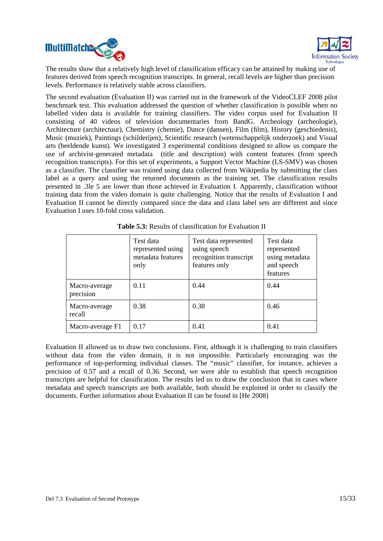



The results show that a relatively high level of classification efficacy can be attained by making use of features derived from speech recognition transcripts. In general, recall levels are higher than precision levels. Performance is relatively stable across classifiers.

The second evaluation (Evaluation II) was carried out in the framework of the VideoCLEF 2008 pilot benchmark test. This evaluation addressed the question of whether classification is possible when no labelled video data is available for training classifiers. The video corpus used for Evaluation II consisting of 40 videos of television documentaries from BandG. Archeology (archeologie), Architecture (architectuur), Chemistry (chemie), Dance (dansen), Film (film), History (geschiedenis), Music (muziek), Paintings (schilderijen), Scientific research (wetenschappelijk onderzoek) and Visual arts (beeldende kunst). We investigated 3 experimental conditions designed to allow us compare the use of archivist-generated metadata (title and description) with content features (from speech recognition transcripts). For this set of experiments, a Support Vector Machine (LS-SMV) was chosen as a classifier. The classifier was trained using data collected from Wikipedia by submitting the class label as a query and using the returned documents as the training set. The classification results presented in .3le 5 are lower than those achieved in Evaluation I. Apparently, classification without training data from the video domain is quite challenging. Notice that the results of Evaluation I and Evaluation II cannot be directly compared since the data and class label sets are different and since Evaluation I uses 10-fold cross validation.

|                            | Test data<br>represented using<br>metadata features<br>only | Test data represented<br>using speech<br>recognition transcript<br>features only | Test data<br>represented<br>using metadata<br>and speech<br>features |  |  |
|----------------------------|-------------------------------------------------------------|----------------------------------------------------------------------------------|----------------------------------------------------------------------|--|--|
| Macro-average<br>precision | 0.11                                                        | 0.44                                                                             | 0.44                                                                 |  |  |
| Macro-average<br>recall    | 0.38                                                        | 0.38                                                                             | 0.46                                                                 |  |  |
| Macro-average F1           | 0.17                                                        | 0.41                                                                             | 0.41                                                                 |  |  |

Evaluation II allowed us to draw two conclusions. First, although it is challenging to train classifiers without data from the video domain, it is not impossible. Particularly encouraging was the performance of top-performing individual classes. The "music" classifier, for instance, achieves a precision of 0.57 and a recall of 0.36. Second, we were able to establish that speech recognition transcripts are helpful for classification. The results led us to draw the conclusion that in cases where metadata and speech transcripts are both available, both should be exploited in order to classify the documents. Further information about Evaluation II can be found in [He 2008]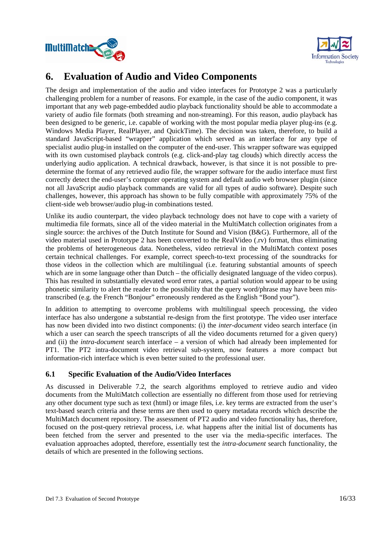



# **6. Evaluation of Audio and Video Components**

The design and implementation of the audio and video interfaces for Prototype 2 was a particularly challenging problem for a number of reasons. For example, in the case of the audio component, it was important that any web page-embedded audio playback functionality should be able to accommodate a variety of audio file formats (both streaming and non-streaming). For this reason, audio playback has been designed to be generic, i.e. capable of working with the most popular media player plug-ins (e.g. Windows Media Player, RealPlayer, and QuickTime). The decision was taken, therefore, to build a standard JavaScript-based "wrapper" application which served as an interface for any type of specialist audio plug-in installed on the computer of the end-user. This wrapper software was equipped with its own customised playback controls (e.g. click-and-play tag clouds) which directly access the underlying audio application. A technical drawback, however, is that since it is not possible to predetermine the format of any retrieved audio file, the wrapper software for the audio interface must first correctly detect the end-user's computer operating system and default audio web browser plugin (since not all JavaScript audio playback commands are valid for all types of audio software). Despite such challenges, however, this approach has shown to be fully compatible with approximately 75% of the client-side web browser/audio plug-in combinations tested.

Unlike its audio counterpart, the video playback technology does not have to cope with a variety of multimedia file formats, since all of the video material in the MultiMatch collection originates from a single source: the archives of the Dutch Institute for Sound and Vision (B&G). Furthermore, all of the video material used in Prototype 2 has been converted to the RealVideo (.rv) format, thus eliminating the problems of heterogeneous data. Nonetheless, video retrieval in the MultiMatch context poses certain technical challenges. For example, correct speech-to-text processing of the soundtracks for those videos in the collection which are multilingual (i.e. featuring substantial amounts of speech which are in some language other than Dutch – the officially designated language of the video corpus). This has resulted in substantially elevated word error rates, a partial solution would appear to be using phonetic similarity to alert the reader to the possibility that the query word/phrase may have been mistranscribed (e.g. the French "Bonjour" erroneously rendered as the English "Bond your").

In addition to attempting to overcome problems with multilingual speech processing, the video interface has also undergone a substantial re-design from the first prototype. The video user interface has now been divided into two distinct components: (i) the *inter-document* video search interface (in which a user can search the speech transcripts of all the video documents returned for a given query) and (ii) the *intra-document* search interface – a version of which had already been implemented for PT1. The PT2 intra-document video retrieval sub-system, now features a more compact but information-rich interface which is even better suited to the professional user.

## **6.1 Specific Evaluation of the Audio/Video Interfaces**

As discussed in Deliverable 7.2, the search algorithms employed to retrieve audio and video documents from the MultiMatch collection are essentially no different from those used for retrieving any other document type such as text (html) or image files, i.e. key terms are extracted from the user's text-based search criteria and these terms are then used to query metadata records which describe the MultiMatch document repository. The assessment of PT2 audio and video functionality has, therefore, focused on the post-query retrieval process, i.e. what happens after the initial list of documents has been fetched from the server and presented to the user via the media-specific interfaces. The evaluation approaches adopted, therefore, essentially test the *intra-document* search functionality, the details of which are presented in the following sections.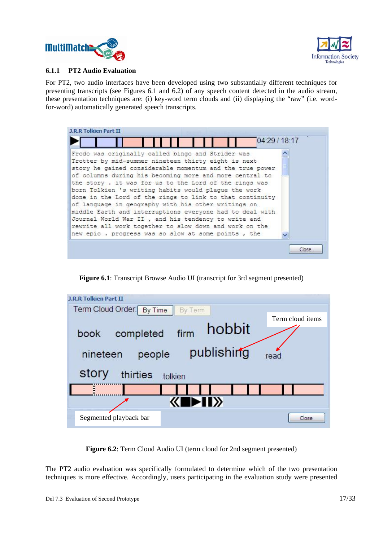



#### **6.1.1 PT2 Audio Evaluation**

For PT2, two audio interfaces have been developed using two substantially different techniques for presenting transcripts (see Figures 6.1 and 6.2) of any speech content detected in the audio stream, these presentation techniques are: (i) key-word term clouds and (ii) displaying the "raw" (i.e. wordfor-word) automatically generated speech transcripts.



**Figure 6.1**: Transcript Browse Audio UI (transcript for 3rd segment presented)

| <b>J.R.R Tolkien Part II</b>         |                  |
|--------------------------------------|------------------|
| Term Cloud Order: By Time<br>By Term |                  |
| hobbit<br>firm<br>completed<br>book  | Term cloud items |
| publishing<br>people<br>nineteen     | read             |
| story<br>thirties<br>tolkien         |                  |
|                                      |                  |
| $\blacktriangleright$ II $\times$    |                  |
| Segmented playback bar               | Close.           |

**Figure 6.2**: Term Cloud Audio UI (term cloud for 2nd segment presented)

The PT2 audio evaluation was specifically formulated to determine which of the two presentation techniques is more effective. Accordingly, users participating in the evaluation study were presented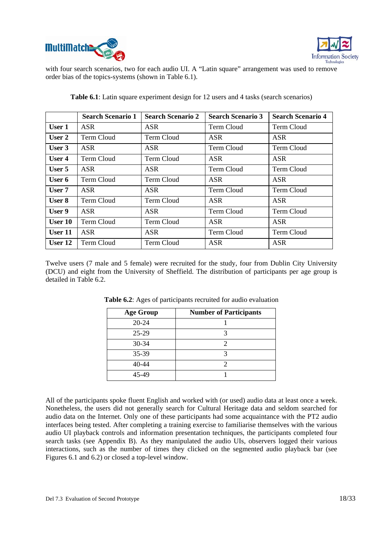



with four search scenarios, two for each audio UI. A "Latin square" arrangement was used to remove order bias of the topics-systems (shown in Table 6.1).

|               | <b>Search Scenario 1</b> | <b>Search Scenario 2</b> | <b>Search Scenario 3</b> | <b>Search Scenario 4</b> |
|---------------|--------------------------|--------------------------|--------------------------|--------------------------|
| User 1        | ASR                      | <b>ASR</b>               | Term Cloud               | Term Cloud               |
| User 2        | Term Cloud               | Term Cloud               | <b>ASR</b>               | <b>ASR</b>               |
| User 3        | <b>ASR</b>               | <b>ASR</b>               | Term Cloud               | Term Cloud               |
| User 4        | Term Cloud               | Term Cloud               | <b>ASR</b>               | <b>ASR</b>               |
| User 5        | <b>ASR</b>               | <b>ASR</b>               | Term Cloud               | Term Cloud               |
| User 6        | Term Cloud               | Term Cloud               | <b>ASR</b>               | <b>ASR</b>               |
| User 7        | <b>ASR</b>               | <b>ASR</b>               | Term Cloud               | <b>Term Cloud</b>        |
| <b>User 8</b> | Term Cloud               | Term Cloud               | ASR.                     | <b>ASR</b>               |
| User 9        | ASR                      | <b>ASR</b>               | Term Cloud               | Term Cloud               |
| User 10       | Term Cloud               | Term Cloud               | <b>ASR</b>               | <b>ASR</b>               |
| User 11       | <b>ASR</b>               | <b>ASR</b>               | Term Cloud               | Term Cloud               |
| User 12       | Term Cloud               | Term Cloud               | <b>ASR</b>               | <b>ASR</b>               |

**Table 6.1**: Latin square experiment design for 12 users and 4 tasks (search scenarios)

Twelve users (7 male and 5 female) were recruited for the study, four from Dublin City University (DCU) and eight from the University of Sheffield. The distribution of participants per age group is detailed in Table 6.2.

| <b>Age Group</b> | <b>Number of Participants</b> |
|------------------|-------------------------------|
| $20 - 24$        |                               |
| $25 - 29$        |                               |
| 30-34            |                               |
| 35-39            |                               |
| 40-44            |                               |
| 45-49            |                               |

**Table 6.2**: Ages of participants recruited for audio evaluation

All of the participants spoke fluent English and worked with (or used) audio data at least once a week. Nonetheless, the users did not generally search for Cultural Heritage data and seldom searched for audio data on the Internet. Only one of these participants had some acquaintance with the PT2 audio interfaces being tested. After completing a training exercise to familiarise themselves with the various audio UI playback controls and information presentation techniques, the participants completed four search tasks (see Appendix B). As they manipulated the audio UIs, observers logged their various interactions, such as the number of times they clicked on the segmented audio playback bar (see Figures 6.1 and 6.2) or closed a top-level window.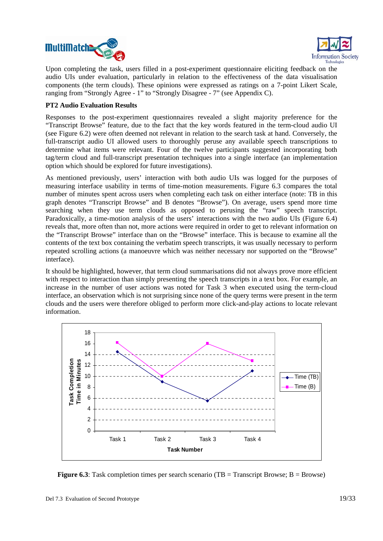



Upon completing the task, users filled in a post-experiment questionnaire eliciting feedback on the audio UIs under evaluation, particularly in relation to the effectiveness of the data visualisation components (the term clouds). These opinions were expressed as ratings on a 7-point Likert Scale, ranging from "Strongly Agree - 1" to "Strongly Disagree - 7" (see Appendix C).

#### **PT2 Audio Evaluation Results**

Responses to the post-experiment questionnaires revealed a slight majority preference for the "Transcript Browse" feature, due to the fact that the key words featured in the term-cloud audio UI (see Figure 6.2) were often deemed not relevant in relation to the search task at hand. Conversely, the full-transcript audio UI allowed users to thoroughly peruse any available speech transcriptions to determine what items were relevant. Four of the twelve participants suggested incorporating both tag/term cloud and full-transcript presentation techniques into a single interface (an implementation option which should be explored for future investigations).

As mentioned previously, users' interaction with both audio UIs was logged for the purposes of measuring interface usability in terms of time-motion measurements. Figure 6.3 compares the total number of minutes spent across users when completing each task on either interface (note: TB in this graph denotes "Transcript Browse" and B denotes "Browse"). On average, users spend more time searching when they use term clouds as opposed to perusing the "raw" speech transcript. Paradoxically, a time-motion analysis of the users' interactions with the two audio UIs (Figure 6.4) reveals that, more often than not, more actions were required in order to get to relevant information on the "Transcript Browse" interface than on the "Browse" interface. This is because to examine all the contents of the text box containing the verbatim speech transcripts, it was usually necessary to perform repeated scrolling actions (a manoeuvre which was neither necessary nor supported on the "Browse" interface).

It should be highlighted, however, that term cloud summarisations did not always prove more efficient with respect to interaction than simply presenting the speech transcripts in a text box. For example, an increase in the number of user actions was noted for Task 3 when executed using the term-cloud interface, an observation which is not surprising since none of the query terms were present in the term clouds and the users were therefore obliged to perform more click-and-play actions to locate relevant information.



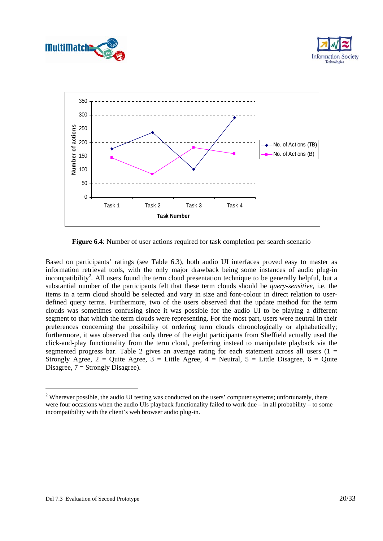





**Figure 6.4**: Number of user actions required for task completion per search scenario

Based on participants' ratings (see Table 6.3), both audio UI interfaces proved easy to master as information retrieval tools, with the only major drawback being some instances of audio plug-in incompatibility<sup>2</sup>. All users found the term cloud presentation technique to be generally helpful, but a substantial number of the participants felt that these term clouds should be *query-sensitive*, i.e. the items in a term cloud should be selected and vary in size and font-colour in direct relation to userdefined query terms. Furthermore, two of the users observed that the update method for the term clouds was sometimes confusing since it was possible for the audio UI to be playing a different segment to that which the term clouds were representing. For the most part, users were neutral in their preferences concerning the possibility of ordering term clouds chronologically or alphabetically; furthermore, it was observed that only three of the eight participants from Sheffield actually used the click-and-play functionality from the term cloud, preferring instead to manipulate playback via the segmented progress bar. Table 2 gives an average rating for each statement across all users  $(1 =$ Strongly Agree,  $2 =$  Quite Agree,  $3 =$  Little Agree,  $4 =$  Neutral,  $5 =$  Little Disagree,  $6 =$  Quite Disagree,  $7 =$  Strongly Disagree).

-

 $2$  Wherever possible, the audio UI testing was conducted on the users' computer systems; unfortunately, there were four occasions when the audio UIs playback functionality failed to work due – in all probability – to some incompatibility with the client's web browser audio plug-in.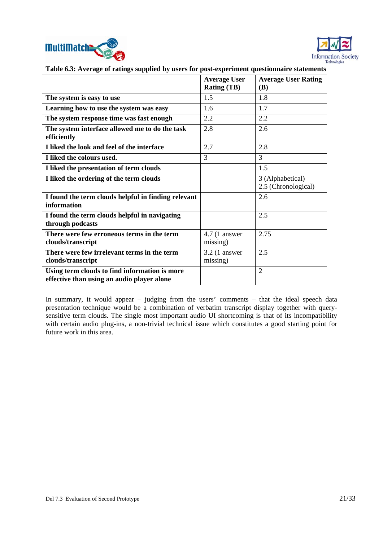



|                                                                                             | <b>Average User</b><br><b>Rating (TB)</b> | <b>Average User Rating</b><br><b>(B)</b> |
|---------------------------------------------------------------------------------------------|-------------------------------------------|------------------------------------------|
| The system is easy to use                                                                   | 1.5                                       | 1.8                                      |
| Learning how to use the system was easy                                                     | 1.6                                       | 1.7                                      |
| The system response time was fast enough                                                    | 2.2                                       | 2.2                                      |
| The system interface allowed me to do the task<br>efficiently                               | 2.8                                       | 2.6                                      |
| I liked the look and feel of the interface                                                  | 2.7                                       | 2.8                                      |
| I liked the colours used.                                                                   | 3                                         | 3                                        |
| I liked the presentation of term clouds                                                     |                                           | 1.5                                      |
| I liked the ordering of the term clouds                                                     |                                           | 3 (Alphabetical)<br>2.5 (Chronological)  |
| I found the term clouds helpful in finding relevant<br>information                          |                                           | 2.6                                      |
| I found the term clouds helpful in navigating<br>through podcasts                           |                                           | 2.5                                      |
| There were few erroneous terms in the term<br>clouds/transcript                             | $4.7(1$ answer<br>missing)                | 2.75                                     |
| There were few irrelevant terms in the term<br>clouds/transcript                            | $3.2$ (1 answer<br>missing)               | 2.5                                      |
| Using term clouds to find information is more<br>effective than using an audio player alone |                                           | $\overline{2}$                           |

**Table 6.3: Average of ratings supplied by users for post-experiment questionnaire statements**

In summary, it would appear – judging from the users' comments – that the ideal speech data presentation technique would be a combination of verbatim transcript display together with querysensitive term clouds. The single most important audio UI shortcoming is that of its incompatibility with certain audio plug-ins, a non-trivial technical issue which constitutes a good starting point for future work in this area.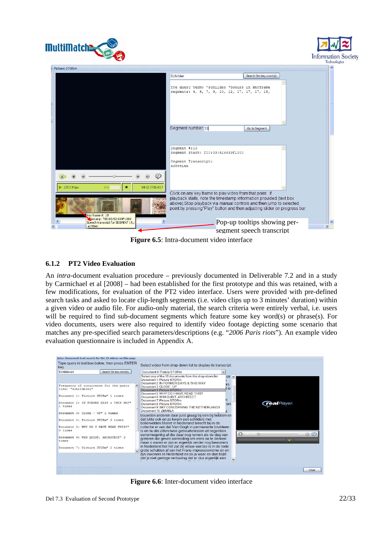





**Figure 6.5**: Intra-document video interface

### **6.1.2 PT2 Video Evaluation**

An *intra*-document evaluation procedure – previously documented in Deliverable 7.2 and in a study by Carmichael et al [2008] – had been established for the first prototype and this was retained, with a few modifications, for evaluation of the PT2 video interface. Users were provided with pre-defined search tasks and asked to locate clip-length segments (i.e. video clips up to 3 minutes' duration) within a given video or audio file. For audio-only material, the search criteria were entirely verbal, i.e. users will be required to find sub-document segments which feature some key word(s) or phrase(s). For video documents, users were also required to identify video footage depicting some scenario that matches any pre-specified search parameters/descriptions (e.g. "*2006 Paris riots*"). An example video evaluation questionnaire is included in Appendix A.



**Figure 6.6**: Inter-document video interface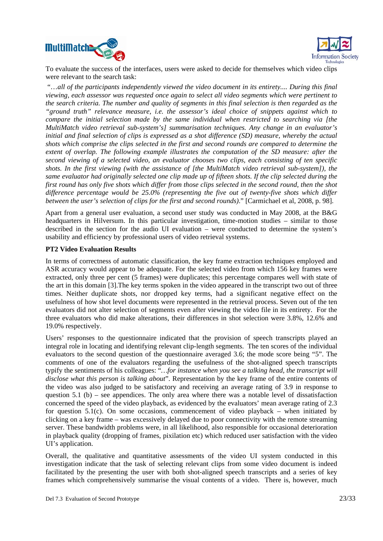



To evaluate the success of the interfaces, users were asked to decide for themselves which video clips were relevant to the search task:

 "…*all of the participants independently viewed the video document in its entirety.... During this final viewing, each assessor was requested once again to select all video segments which were pertinent to the search criteria. The number and quality of segments in this final selection is then regarded as the "ground truth" relevance measure, i.e. the assessor's ideal choice of snippets against which to compare the initial selection made by the same individual when restricted to searching via [the MultiMatch video retrieval sub-system's] summarisation techniques. Any change in an evaluator's initial and final selection of clips is expressed as a shot difference (SD) measure, whereby the actual shots which comprise the clips selected in the first and second rounds are compared to determine the extent of overlap. The following example illustrates the computation of the SD measure: after the second viewing of a selected video, an evaluator chooses two clips, each consisting of ten specific shots. In the first viewing (with the assistance of [the MultiMatch video retrieval sub-system]), the same evaluator had originally selected one clip made up of fifteen shots. If the clip selected during the first round has only five shots which differ from those clips selected in the second round, then the shot difference percentage would be 25.0% (representing the five out of twenty-five shots which differ between the user's selection of clips for the first and second rounds)*." [Carmichael et al, 2008, p. 98].

Apart from a general user evaluation, a second user study was conducted in May 2008, at the B&G headquarters in Hilversum. In this particular investigation, time-motion studies – similar to those described in the section for the audio UI evaluation – were conducted to determine the system's usability and efficiency by professional users of video retrieval systems.

#### **PT2 Video Evaluation Results**

In terms of correctness of automatic classification, the key frame extraction techniques employed and ASR accuracy would appear to be adequate. For the selected video from which 156 key frames were extracted, only three per cent (5 frames) were duplicates; this percentage compares well with state of the art in this domain [3].The key terms spoken in the video appeared in the transcript two out of three times. Neither duplicate shots, nor dropped key terms, had a significant negative effect on the usefulness of how shot level documents were represented in the retrieval process. Seven out of the ten evaluators did not alter selection of segments even after viewing the video file in its entirety. For the three evaluators who did make alterations, their differences in shot selection were 3.8%, 12.6% and 19.0% respectively.

Users' responses to the questionnaire indicated that the provision of speech transcripts played an integral role in locating and identifying relevant clip-length segments. The ten scores of the individual evaluators to the second question of the questionnaire averaged 3.6; the mode score being "5". The comments of one of the evaluators regarding the usefulness of the shot-aligned speech transcripts typify the sentiments of his colleagues: "*…for instance when you see a talking head, the transcript will disclose what this person is talking about*". Representation by the key frame of the entire contents of the video was also judged to be satisfactory and receiving an average rating of 3.9 in response to question 5.1 (b) – see appendices. The only area where there was a notable level of dissatisfaction concerned the speed of the video playback, as evidenced by the evaluators' mean average rating of 2.3 for question 5.1(c). On some occasions, commencement of video playback – when initiated by clicking on a key frame – was excessively delayed due to poor connectivity with the remote streaming server. These bandwidth problems were, in all likelihood, also responsible for occasional deterioration in playback quality (dropping of frames, pixilation etc) which reduced user satisfaction with the video UI's application.

Overall, the qualitative and quantitative assessments of the video UI system conducted in this investigation indicate that the task of selecting relevant clips from some video document is indeed facilitated by the presenting the user with both shot-aligned speech transcripts and a series of key frames which comprehensively summarise the visual contents of a video. There is, however, much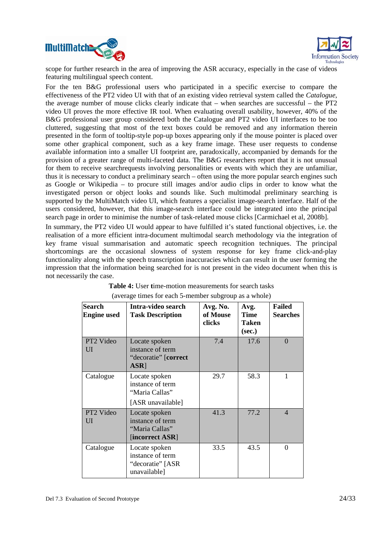



scope for further research in the area of improving the ASR accuracy, especially in the case of videos featuring multilingual speech content.

For the ten B&G professional users who participated in a specific exercise to compare the effectiveness of the PT2 video UI with that of an existing video retrieval system called the *Catalogue*, the average number of mouse clicks clearly indicate that – when searches are successful – the PT2 video UI proves the more effective IR tool. When evaluating overall usability, however, 40% of the B&G professional user group considered both the Catalogue and PT2 video UI interfaces to be too cluttered, suggesting that most of the text boxes could be removed and any information therein presented in the form of tooltip-style pop-up boxes appearing only if the mouse pointer is placed over some other graphical component, such as a key frame image. These user requests to condense available information into a smaller UI footprint are, paradoxically, accompanied by demands for the provision of a greater range of multi-faceted data. The B&G researchers report that it is not unusual for them to receive searchrequests involving personalities or events with which they are unfamiliar, thus it is necessary to conduct a preliminary search – often using the more popular search engines such as Google or Wikipedia – to procure still images and/or audio clips in order to know what the investigated person or object looks and sounds like. Such multimodal preliminary searching is supported by the MultiMatch video UI, which features a specialist image-search interface. Half of the users considered, however, that this image-search interface could be integrated into the principal search page in order to minimise the number of task-related mouse clicks [Carmichael et al, 2008b].

In summary, the PT2 video UI would appear to have fulfilled it's stated functional objectives, i.e. the realisation of a more efficient intra-document multimodal search methodology via the integration of key frame visual summarisation and automatic speech recognition techniques. The principal shortcomings are the occasional slowness of system response for key frame click-and-play functionality along with the speech transcription inaccuracies which can result in the user forming the impression that the information being searched for is not present in the video document when this is not necessarily the case.

| <b>Search</b><br><b>Engine</b> used | Intra-video search<br><b>Task Description</b>                            | Avg. No.<br>of Mouse<br>clicks | Avg.<br><b>Time</b><br>Taken<br>(sec.) | <b>Failed</b><br><b>Searches</b> |
|-------------------------------------|--------------------------------------------------------------------------|--------------------------------|----------------------------------------|----------------------------------|
| PT2 Video<br>UI                     | Locate spoken<br>instance of term<br>"decoratie" [correct<br>ASR]        | 7.4                            | 17.6                                   | $\Omega$                         |
| Catalogue                           | Locate spoken<br>instance of term<br>"Maria Callas"<br>[ASR unavailable] | 29.7                           | 58.3                                   |                                  |
| PT2 Video<br>UI                     | Locate spoken<br>instance of term<br>"Maria Callas"<br>[incorrect ASR]   | 41.3                           | 77.2                                   | $\overline{\mathcal{A}}$         |
| Catalogue                           | Locate spoken<br>instance of term<br>"decoratie" [ASR<br>unavailable]    | 33.5                           | 43.5                                   | $\Omega$                         |

| <b>Table 4:</b> User time-motion measurements for search tasks |
|----------------------------------------------------------------|
| (average times for each 5-member subgroup as a whole)          |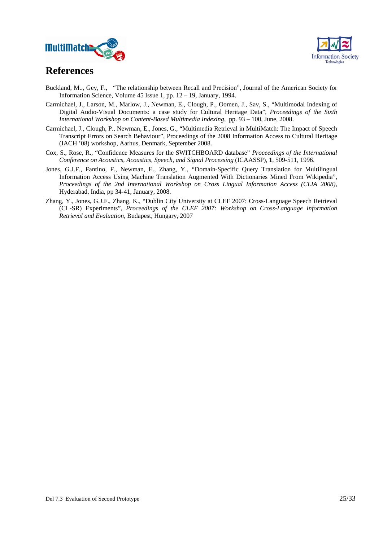



# **References**

- Buckland, M.., Gey, F., "The relationship between Recall and Precision", Journal of the American Society for Information Science, Volume 45 Issue 1, pp. 12 – 19, January, 1994.
- Carmichael, J., Larson, M., Marlow, J., Newman, E., Clough, P., Oomen, J., Sav, S., "Multimodal Indexing of Digital Audio-Visual Documents: a case study for Cultural Heritage Data", *Proceedings of the Sixth International Workshop on Content-Based Multimedia Indexing*, pp. 93 – 100, June, 2008.
- Carmichael, J., Clough, P., Newman, E., Jones, G., "Multimedia Retrieval in MultiMatch: The Impact of Speech Transcript Errors on Search Behaviour", Proceedings of the 2008 Information Access to Cultural Heritage (IACH '08) workshop, Aarhus, Denmark, September 2008.
- Cox, S., Rose, R., "Confidence Measures for the SWITCHBOARD database" *Proceedings of the International Conference on Acoustics, Acoustics, Speech, and Signal Processing* (ICAASSP), **1**, 509-511, 1996.
- Jones, G.J.F., Fantino, F., Newman, E., Zhang, Y., "Domain-Specific Query Translation for Multilingual Information Access Using Machine Translation Augmented With Dictionaries Mined From Wikipedia", *Proceedings of the 2nd International Workshop on Cross Lingual Information Access (CLIA 2008)*, Hyderabad, India, pp 34-41, January, 2008.
- Zhang, Y., Jones, G.J.F., Zhang, K., "Dublin City University at CLEF 2007: Cross-Language Speech Retrieval (CL-SR) Experiments", *Proceedings of the CLEF 2007: Workshop on Cross-Language Information Retrieval and Evaluation*, Budapest, Hungary, 2007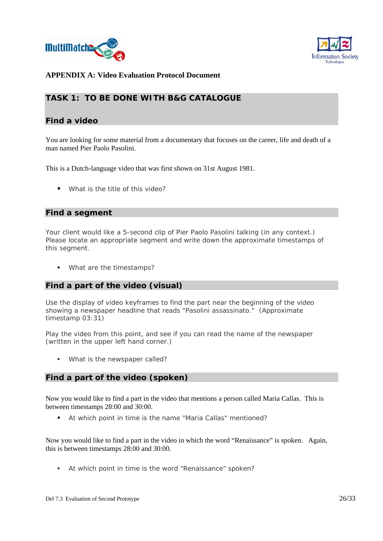



## **APPENDIX A: Video Evaluation Protocol Document**

## **TASK 1: TO BE DONE WITH B&G CATALOGUE**

### **Find a video**

You are looking for some material from a documentary that focuses on the career, life and death of a man named Pier Paolo Pasolini.

This is a Dutch-language video that was first shown on 31st August 1981.

What is the title of this video?

#### **Find a segment**

Your client would like a 5-second clip of Pier Paolo Pasolini talking (in any context.) Please locate an appropriate segment and write down the approximate timestamps of this segment.

**What are the timestamps?** 

### **Find a part of the video (visual)**

Use the display of video keyframes to find the part near the beginning of the video showing a newspaper headline that reads "Pasolini assassinato." (Approximate timestamp 03:31)

Play the video from this point, and see if you can read the name of the newspaper (written in the upper left hand corner.)

What is the newspaper called?

#### **Find a part of the video (spoken)**

Now you would like to find a part in the video that mentions a person called Maria Callas. This is between timestamps 28:00 and 30:00.

At which point in time is the name "Maria Callas" mentioned?

Now you would like to find a part in the video in which the word "Renaissance" is spoken. Again, this is between timestamps 28:00 and 30:00.

At which point in time is the word "Renaissance" spoken?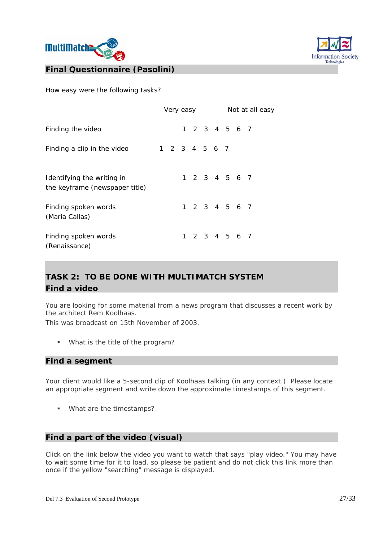



How easy were the following tasks?

|                                                              | Very easy |               |  |  | Not at all easy |  |               |  |
|--------------------------------------------------------------|-----------|---------------|--|--|-----------------|--|---------------|--|
| Finding the video                                            |           |               |  |  |                 |  | 1 2 3 4 5 6 7 |  |
| Finding a clip in the video                                  |           | 1 2 3 4 5 6 7 |  |  |                 |  |               |  |
| Identifying the writing in<br>the keyframe (newspaper title) |           |               |  |  |                 |  | 1 2 3 4 5 6 7 |  |
| Finding spoken words<br>(Maria Callas)                       |           |               |  |  |                 |  | 1 2 3 4 5 6 7 |  |
| Finding spoken words<br>(Renaissance)                        |           |               |  |  |                 |  | 1 2 3 4 5 6 7 |  |

# **TASK 2: TO BE DONE WITH MULTIMATCH SYSTEM Find a video**

You are looking for some material from a news program that discusses a recent work by the architect Rem Koolhaas.

This was broadcast on 15th November of 2003.

What is the title of the program?

#### **Find a segment**

Your client would like a 5-second clip of Koolhaas talking (in any context.) Please locate an appropriate segment and write down the approximate timestamps of this segment.

**What are the timestamps?** 

### **Find a part of the video (visual)**

Click on the link below the video you want to watch that says "play video." You may have to wait some time for it to load, so please be patient and do not click this link more than once if the yellow "searching" message is displayed.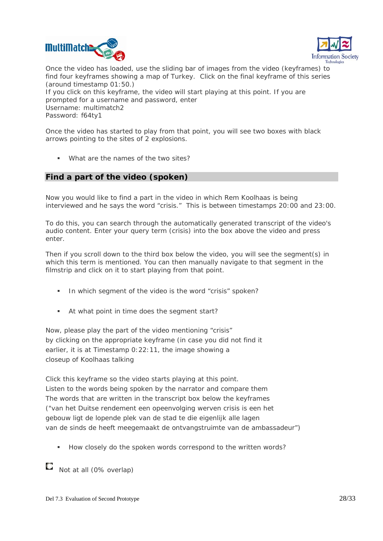



Once the video has loaded, use the sliding bar of images from the video (keyframes) to find four keyframes showing a map of Turkey. Click on the final keyframe of this series (around timestamp 01:50.) If you click on this keyframe, the video will start playing at this point. If you are prompted for a username and password, enter Username: multimatch2 Password: f64ty1

Once the video has started to play from that point, you will see two boxes with black arrows pointing to the sites of 2 explosions.

What are the names of the two sites?

## **Find a part of the video (spoken)**

Now you would like to find a part in the video in which Rem Koolhaas is being interviewed and he says the word "crisis." This is between timestamps 20:00 and 23:00.

To do this, you can search through the automatically generated transcript of the video's audio content. Enter your query term (crisis) into the box above the video and press enter.

Then if you scroll down to the third box below the video, you will see the segment(s) in which this term is mentioned. You can then manually navigate to that segment in the filmstrip and click on it to start playing from that point.

- In which segment of the video is the word "crisis" spoken?
- At what point in time does the segment start?

Now, please play the part of the video mentioning "crisis" by clicking on the appropriate keyframe (in case you did not find it earlier, it is at Timestamp 0:22:11, the image showing a closeup of Koolhaas talking

Click this keyframe so the video starts playing at this point. Listen to the words being spoken by the narrator and compare them The words that are written in the transcript box below the keyframes ("van het Duitse rendement een opeenvolging werven crisis is een het gebouw ligt de lopende plek van de stad te die eigenlijk alle lagen van de sinds de heeft meegemaakt de ontvangstruimte van de ambassadeur")

How closely do the spoken words correspond to the written words?

 $\Box$  Not at all (0% overlap)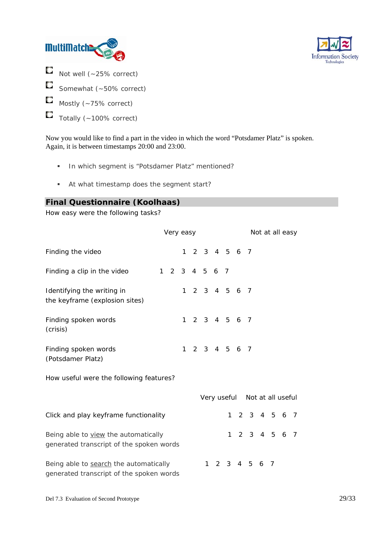



- О Not well (~25% correct)
- $\Box$ Somewhat (~50% correct)
- О Mostly (~75% correct)
- O Totally (~100% correct)

Now you would like to find a part in the video in which the word "Potsdamer Platz" is spoken. Again, it is between timestamps 20:00 and 23:00.

- In which segment is "Potsdamer Platz" mentioned?
- At what timestamp does the segment start?

## **Final Questionnaire (Koolhaas)**

How easy were the following tasks?

|                                                                                    | Very easy |  |           |  |                               |  |              |  |               |  | Not at all easy |  |  |
|------------------------------------------------------------------------------------|-----------|--|-----------|--|-------------------------------|--|--------------|--|---------------|--|-----------------|--|--|
| Finding the video                                                                  |           |  |           |  | 1 2 3 4 5 6 7                 |  |              |  |               |  |                 |  |  |
| Finding a clip in the video                                                        |           |  |           |  | 1 2 3 4 5 6 7                 |  |              |  |               |  |                 |  |  |
| Identifying the writing in<br>the keyframe (explosion sites)                       |           |  |           |  | 1 2 3 4 5 6 7                 |  |              |  |               |  |                 |  |  |
| Finding spoken words<br>(crisis)                                                   |           |  | $1 \quad$ |  | 2 3 4 5 6 7                   |  |              |  |               |  |                 |  |  |
| Finding spoken words<br>(Potsdamer Platz)                                          |           |  | 1         |  | 2 3 4 5 6 7                   |  |              |  |               |  |                 |  |  |
| How useful were the following features?                                            |           |  |           |  |                               |  |              |  |               |  |                 |  |  |
|                                                                                    |           |  |           |  | Very useful Not at all useful |  |              |  |               |  |                 |  |  |
| Click and play keyframe functionality                                              |           |  |           |  |                               |  | $\mathbf{1}$ |  | 2 3 4 5 6 7   |  |                 |  |  |
| Being able to view the automatically<br>generated transcript of the spoken words   |           |  |           |  |                               |  | $\mathbf{1}$ |  | 2 3 4 5 6 7   |  |                 |  |  |
| Being able to search the automatically<br>generated transcript of the spoken words |           |  |           |  |                               |  |              |  | 1 2 3 4 5 6 7 |  |                 |  |  |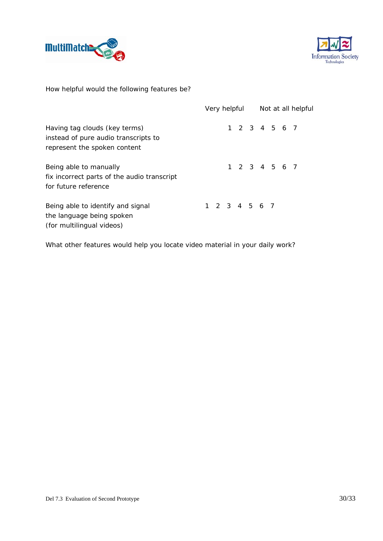



How helpful would the following features be?

|                                                                                                       |  | Very helpful  | Not at all helpful |  |  |               |  |  |
|-------------------------------------------------------------------------------------------------------|--|---------------|--------------------|--|--|---------------|--|--|
| Having tag clouds (key terms)<br>instead of pure audio transcripts to<br>represent the spoken content |  |               |                    |  |  | 1 2 3 4 5 6 7 |  |  |
| Being able to manually<br>fix incorrect parts of the audio transcript<br>for future reference         |  |               |                    |  |  | 1 2 3 4 5 6 7 |  |  |
| Being able to identify and signal<br>the language being spoken<br>(for multilingual videos)           |  | 1 2 3 4 5 6 7 |                    |  |  |               |  |  |

What other features would help you locate video material in your daily work?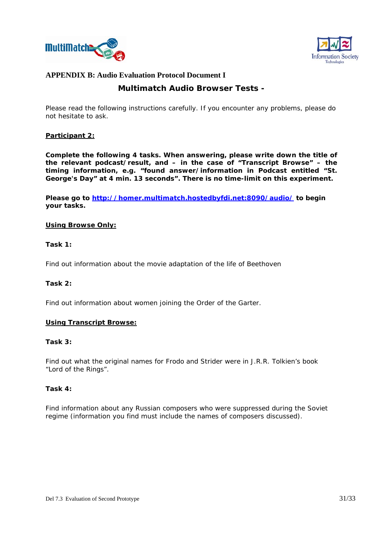



# **APPENDIX B: Audio Evaluation Protocol Document I**

## **Multimatch Audio Browser Tests -**

Please read the following instructions carefully. If you encounter any problems, please do not hesitate to ask.

### **Participant 2:**

**Complete the following 4 tasks. When answering, please write down the title of the relevant podcast/result, and – in the case of "Transcript Browse" – the timing information, e.g. "***found answer/information in Podcast entitled "St. George's Day***" at 4 min. 13 seconds". There is no time-limit on this experiment.** 

Please go to http://homer.multimatch.hostedbyfdi.net:8090/audio/</u> to begin **your tasks.** 

#### **Using Browse Only:**

#### **Task 1:**

Find out information about the movie adaptation of the life of Beethoven

#### **Task 2:**

Find out information about women joining the Order of the Garter.

#### **Using Transcript Browse:**

#### **Task 3:**

Find out what the original names for Frodo and Strider were in J.R.R. Tolkien's book "Lord of the Rings".

#### **Task 4:**

Find information about any Russian composers who were suppressed during the Soviet regime (information you find must include the names of composers discussed).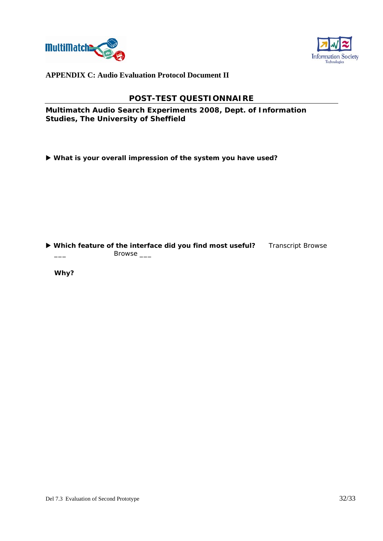



**APPENDIX C: Audio Evaluation Protocol Document II**

## **POST-TEST QUESTIONNAIRE**

**Multimatch Audio Search Experiments 2008, Dept. of Information Studies, The University of Sheffield** 

X **What is your overall impression of the system you have used?** 

▶ Which feature of the interface did you find most useful? Transcript Browse \_\_\_ Browse \_\_\_

**Why?**